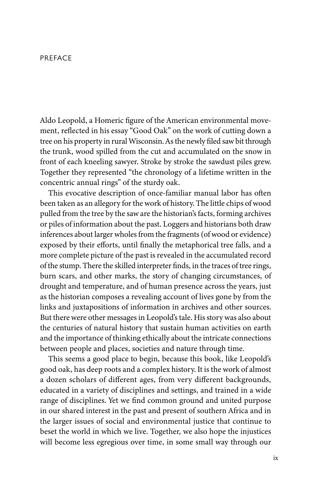## PREFACE

Aldo Leopold, a Homeric figure of the American environmental movement, reflected in his essay "Good Oak" on the work of cutting down a tree on his property in rural Wisconsin. Asthe newly filed sawbit through the trunk, wood spilled from the cut and accumulated on the snow in front of each kneeling sawyer. Stroke by stroke the sawdust piles grew. Together they represented "the chronology of a lifetime written in the concentric annual rings" of the sturdy oak.

This evocative description of once-familiar manual labor has often been taken as an allegory for the work of history. The little chips of wood pulled from the tree by the saw are the historian's facts, forming archives or piles of information about the past. Loggers and historians both draw inferences about larger wholes from the fragments (of wood or evidence) exposed by their efforts, until finally the metaphorical tree falls, and a more complete picture of the past is revealed in the accumulated record of the stump. There the skilled interpreter finds, in the traces of tree rings, burn scars, and other marks, the story of changing circumstances, of drought and temperature, and of human presence across the years, just as the historian composes a revealing account of lives gone by from the links and juxtapositions of information in archives and other sources. But there were other messages in Leopold's tale. His story was also about the centuries of natural history that sustain human activities on earth and the importance of thinking ethically about the intricate connections between people and places, societies and nature through time.

This seems a good place to begin, because this book, like Leopold's good oak, has deep roots and a complex history. It is the work of almost a dozen scholars of different ages, from very different backgrounds, educated in a variety of disciplines and settings, and trained in a wide range of disciplines. Yet we find common ground and united purpose in our shared interest in the past and present of southern Africa and in the larger issues of social and environmental justice that continue to beset the world in which we live. Together, we also hope the injustices will become less egregious over time, in some small way through our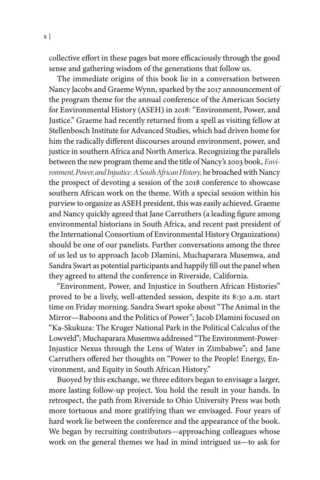collective effort in these pages but more efficaciously through the good sense and gathering wisdom of the generations that follow us.

The immediate origins of this book lie in a conversation between Nancy Jacobs and Graeme Wynn, sparked by the 2017 announcement of the program theme for the annual conference of the American Society for Environmental History (ASEH) in 2018: "Environment, Power, and Justice." Graeme had recently returned from a spell as visiting fellow at Stellenbosch Institute for Advanced Studies, which had driven home for him the radically different discourses around environment, power, and justice in southern Africa and North America. Recognizing the parallels between the newprogram theme and the title of Nancy's 2003 book, *Envi*ronment, Power, and Injustice: A South African History, he broached with Nancy the prospect of devoting a session of the 2018 conference to showcase southern African work on the theme. With a special session within his purview to organize as ASEH president, this was easily achieved. Graeme and Nancy quickly agreed that Jane Carruthers (a leading figure among environmental historians in South Africa, and recent past president of the International Consortium of Environmental History Organizations) should be one of our panelists. Further conversations among the three of us led us to approach Jacob Dlamini, Muchaparara Musemwa, and Sandra Swart as potential participants and happily fill out the panel when they agreed to attend the conference in Riverside, California.

"Environment, Power, and Injustice in Southern African Histories" proved to be a lively, well-attended session, despite its 8:30 a.m. start time on Friday morning. Sandra Swart spoke about "The Animal in the Mirror—Baboons and the Politics of Power"; Jacob Dlamini focused on "Ka-Skukuza: The Kruger National Park in the Political Calculus of the Lowveld"; Muchaparara Musemwa addressed "The Environment-Power-Injustice Nexus through the Lens of Water in Zimbabwe"; and Jane Carruthers offered her thoughts on "Power to the People! Energy, Environment, and Equity in South African History."

Buoyed by this exchange, we three editors began to envisage a larger, more lasting follow-up project. You hold the result in your hands. In retrospect, the path from Riverside to Ohio University Press was both more tortuous and more gratifying than we envisaged. Four years of hard work lie between the conference and the appearance of the book. We began by recruiting contributors—approaching colleagues whose work on the general themes we had in mind intrigued us—to ask for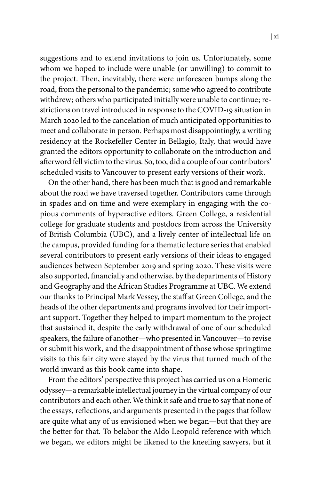suggestions and to extend invitations to join us. Unfortunately, some whom we hoped to include were unable (or unwilling) to commit to the project. Then, inevitably, there were unforeseen bumps along the road, from the personal to the pandemic; some who agreed to contribute withdrew; others who participated initially were unable to continue; restrictions on travel introduced in response to the COVID-19 situation in March 2020 led to the cancelation of much anticipated opportunities to meet and collaborate in person. Perhaps most disappointingly, a writing residency at the Rockefeller Center in Bellagio, Italy, that would have granted the editors opportunity to collaborate on the introduction and afterword fell victim to the virus. So, too, did a couple of our contributors' scheduled visits to Vancouver to present early versions of their work.

On the other hand, there has been much that is good and remarkable about the road we have traversed together. Contributors came through in spades and on time and were exemplary in engaging with the copious comments of hyperactive editors. Green College, a residential college for graduate students and postdocs from across the University of British Columbia (UBC), and a lively center of intellectual life on the campus, provided funding for a thematic lecture series that enabled several contributors to present early versions of their ideas to engaged audiences between September 2019 and spring 2020. These visits were also supported, financially and otherwise, by the departments of History and Geography and the African Studies Programme at UBC. We extend our thanks to Principal Mark Vessey, the staff at Green College, and the heads of the other departments and programs involved for their important support. Together they helped to impart momentum to the project that sustained it, despite the early withdrawal of one of our scheduled speakers, the failure of another—who presented in Vancouver—to revise or submit his work, and the disappointment of those whose springtime visits to this fair city were stayed by the virus that turned much of the world inward as this book came into shape.

From the editors' perspective this project has carried us on a Homeric odyssey—a remarkable intellectual journey in the virtual company of our contributors and each other. We think it safe and true to say that none of the essays, reflections, and arguments presented in the pages that follow are quite what any of us envisioned when we began—but that they are the better for that. To belabor the Aldo Leopold reference with which we began, we editors might be likened to the kneeling sawyers, but it